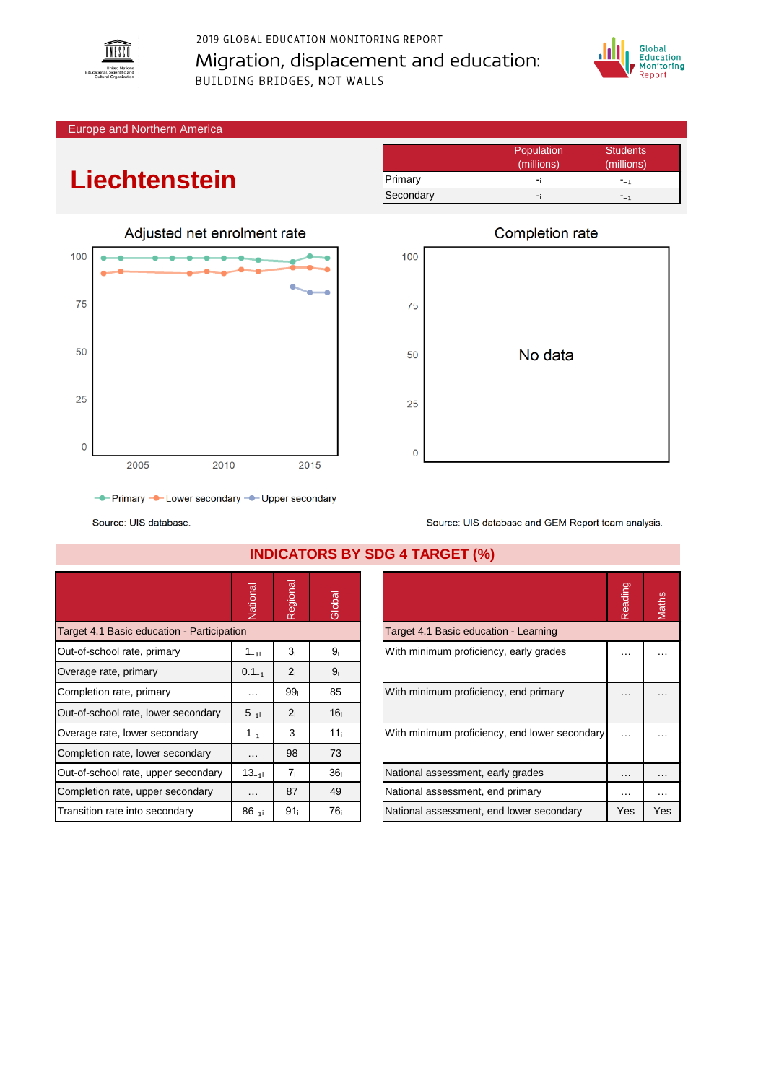

2019 GLOBAL EDUCATION MONITORING REPORT Migration, displacement and education: **BUILDING BRIDGES, NOT WALLS** 



Europe and Northern America

## **Liechtenstein**



Population Students<br>
(millions) (millions) (millions) (millions) Primary -ᵢ -₋₁ Secondary  $-i$  -໋ -໋ -໋ -໋ -ț



Source: UIS database and GEM Report team analysis.

Source: UIS database.

|                                            | Vational          | Regional        | Global          |                                               | Reading  | Maths    |
|--------------------------------------------|-------------------|-----------------|-----------------|-----------------------------------------------|----------|----------|
| Target 4.1 Basic education - Participation |                   |                 |                 | Target 4.1 Basic education - Learning         |          |          |
| Out-of-school rate, primary                | 1 <sub>–1</sub> i | 3 <sub>i</sub>  | 9ì              | With minimum proficiency, early grades        | .        | .        |
| Overage rate, primary                      | $0.1_{-1}$        | 2 <sub>i</sub>  | 9 <sub>i</sub>  |                                               |          |          |
| Completion rate, primary                   | $\cdots$          | 99 <sub>i</sub> | 85              | With minimum proficiency, end primary         | $\cdots$ | $\cdots$ |
| Out-of-school rate, lower secondary        | $5 - 11$          | 2 <sub>i</sub>  | 16 <sub>i</sub> |                                               |          |          |
| Overage rate, lower secondary              | $1_{-1}$          | 3               | 11 <sub>i</sub> | With minimum proficiency, end lower secondary | $\cdots$ |          |
| Completion rate, lower secondary           | $\cdots$          | 98              | 73              |                                               |          |          |
| Out-of-school rate, upper secondary        | $13_{-11}$        | 7 <sub>i</sub>  | 36 <sub>i</sub> | National assessment, early grades             | $\cdots$ | $\cdots$ |
| Completion rate, upper secondary           | $\cdots$          | 87              | 49              | National assessment, end primary              | $\cdots$ | $\cdots$ |
| Transition rate into secondary             | $86_{-11}$        | 91 <sub>i</sub> | 76 <sub>i</sub> | National assessment, end lower secondary      | Yes      | Yes      |

**INDICATORS BY SDG 4 TARGET (%)**

|                                               | Reading |     |
|-----------------------------------------------|---------|-----|
| Target 4.1 Basic education - Learning         |         |     |
| With minimum proficiency, early grades        |         |     |
| With minimum proficiency, end primary         |         |     |
| With minimum proficiency, end lower secondary |         |     |
| National assessment, early grades             |         |     |
| National assessment, end primary              |         |     |
| National assessment, end lower secondary      | Yes     | Yes |